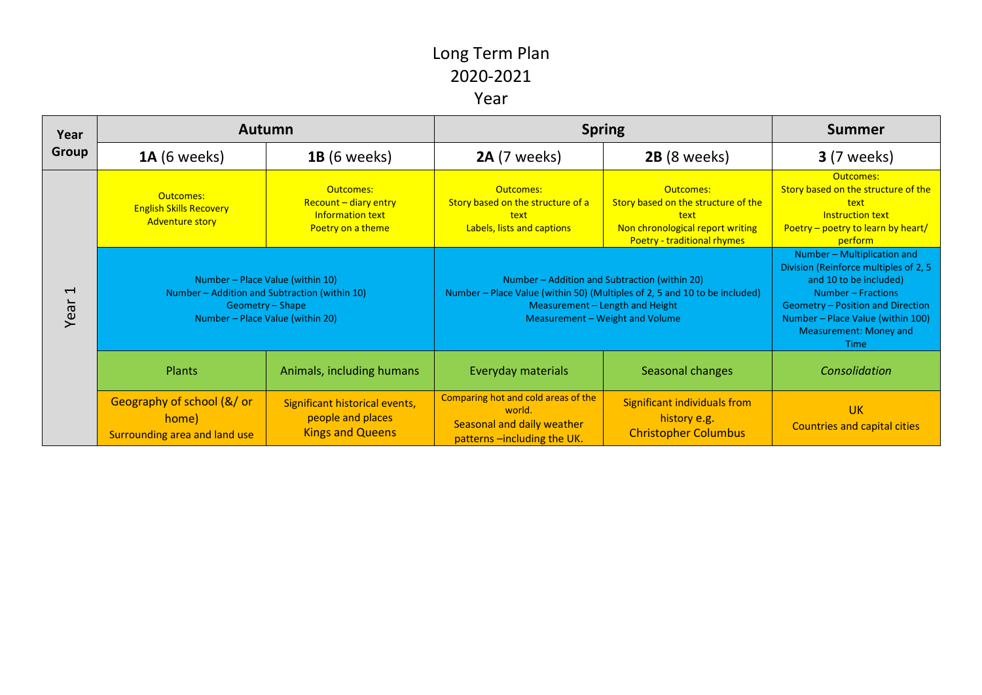| Year<br><b>Group</b>             | <b>Autumn</b>                                                                                                                             |                                                                                    | <b>Spring</b>                                                                                                                                                                                     |                                                                                                                                    | <b>Summer</b>                                                                                                                                                                                                                                  |
|----------------------------------|-------------------------------------------------------------------------------------------------------------------------------------------|------------------------------------------------------------------------------------|---------------------------------------------------------------------------------------------------------------------------------------------------------------------------------------------------|------------------------------------------------------------------------------------------------------------------------------------|------------------------------------------------------------------------------------------------------------------------------------------------------------------------------------------------------------------------------------------------|
|                                  | <b>1A</b> (6 weeks)                                                                                                                       | <b>1B</b> (6 weeks)                                                                | <b>2A</b> (7 weeks)                                                                                                                                                                               | 2B (8 weeks)                                                                                                                       | <b>3</b> (7 weeks)                                                                                                                                                                                                                             |
| $\overline{\phantom{0}}$<br>Year | Outcomes:<br><b>English Skills Recovery</b><br><b>Adventure story</b>                                                                     | Outcomes:<br>Recount - diary entry<br><b>Information text</b><br>Poetry on a theme | Outcomes:<br>Story based on the structure of a<br>text<br>Labels, lists and captions                                                                                                              | Outcomes:<br>Story based on the structure of the<br>text<br>Non chronological report writing<br><b>Poetry - traditional rhymes</b> | Outcomes:<br>Story based on the structure of the<br>text<br><b>Instruction text</b><br>Poetry – poetry to learn by heart/<br>perform                                                                                                           |
|                                  | Number - Place Value (within 10)<br>Number – Addition and Subtraction (within 10)<br>Geometry - Shape<br>Number - Place Value (within 20) |                                                                                    | Number – Addition and Subtraction (within 20)<br>Number – Place Value (within 50) (Multiples of 2, 5 and 10 to be included)<br>Measurement - Length and Height<br>Measurement - Weight and Volume |                                                                                                                                    | Number - Multiplication and<br>Division (Reinforce multiples of 2, 5<br>and 10 to be included)<br>Number - Fractions<br>Geometry - Position and Direction<br>Number - Place Value (within 100)<br><b>Measurement: Money and</b><br><b>Time</b> |
|                                  | Plants                                                                                                                                    | Animals, including humans                                                          | Everyday materials                                                                                                                                                                                | Seasonal changes                                                                                                                   | Consolidation                                                                                                                                                                                                                                  |
|                                  | Geography of school (&/ or<br>home)<br>Surrounding area and land use                                                                      | Significant historical events,<br>people and places<br><b>Kings and Queens</b>     | Comparing hot and cold areas of the<br>world.<br>Seasonal and daily weather<br>patterns-including the UK.                                                                                         | Significant individuals from<br>history e.g.<br><b>Christopher Columbus</b>                                                        | <b>UK</b><br><b>Countries and capital cities</b>                                                                                                                                                                                               |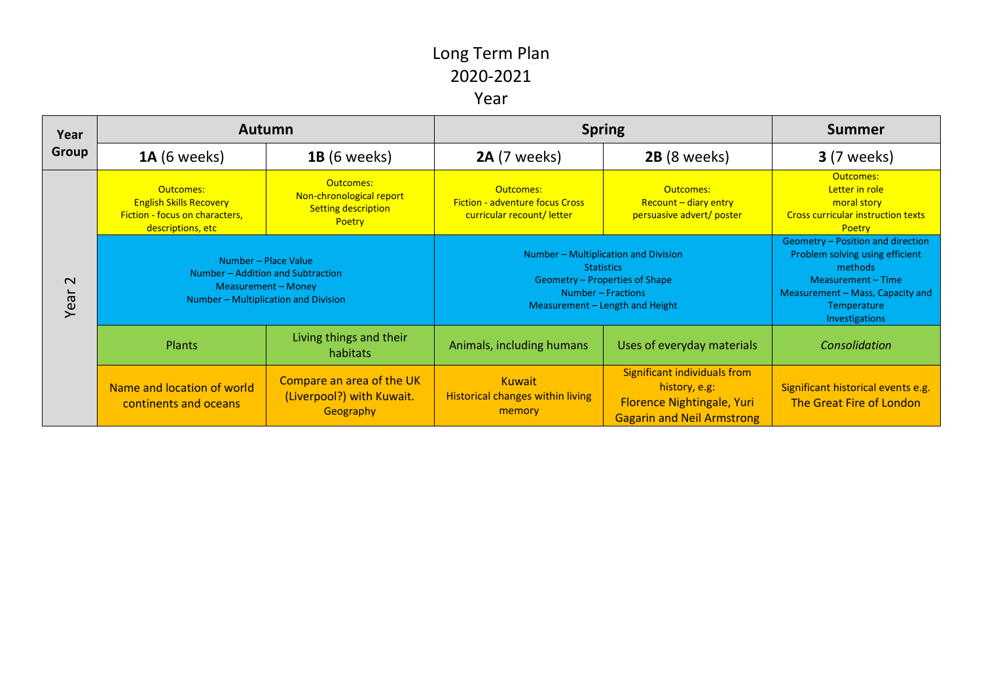| Year<br>Group  | <b>Autumn</b>                                                                                                            |                                                                               | <b>Spring</b>                                                                                                                                        |                                                                                                                         | <b>Summer</b>                                                                                                                                                              |
|----------------|--------------------------------------------------------------------------------------------------------------------------|-------------------------------------------------------------------------------|------------------------------------------------------------------------------------------------------------------------------------------------------|-------------------------------------------------------------------------------------------------------------------------|----------------------------------------------------------------------------------------------------------------------------------------------------------------------------|
|                | <b>1A</b> (6 weeks)                                                                                                      | <b>1B</b> (6 weeks)                                                           | <b>2A</b> (7 weeks)                                                                                                                                  | 2B (8 weeks)                                                                                                            | <b>3</b> (7 weeks)                                                                                                                                                         |
| $\sim$<br>Year | Outcomes:<br><b>English Skills Recovery</b><br>Fiction - focus on characters,<br>descriptions, etc                       | Outcomes:<br>Non-chronological report<br><b>Setting description</b><br>Poetry | Outcomes:<br><b>Fiction - adventure focus Cross</b><br>curricular recount/letter                                                                     | Outcomes:<br>$Recount - diary entry$<br>persuasive advert/ poster                                                       | Outcomes:<br>Letter in role<br>moral story<br><b>Cross curricular instruction texts</b><br><b>Poetry</b>                                                                   |
|                | Number - Place Value<br>Number – Addition and Subtraction<br>Measurement - Money<br>Number - Multiplication and Division |                                                                               | Number - Multiplication and Division<br><b>Statistics</b><br>Geometry – Properties of Shape<br>Number – Fractions<br>Measurement - Length and Height |                                                                                                                         | Geometry - Position and direction<br>Problem solving using efficient<br>methods<br>Measurement - Time<br>Measurement – Mass, Capacity and<br>Temperature<br>Investigations |
|                | <b>Plants</b>                                                                                                            | Living things and their<br>habitats                                           | Animals, including humans                                                                                                                            | Uses of everyday materials                                                                                              | Consolidation                                                                                                                                                              |
|                | Name and location of world<br>continents and oceans                                                                      | Compare an area of the UK<br>(Liverpool?) with Kuwait.<br>Geography           | <b>Kuwait</b><br><b>Historical changes within living</b><br>memory                                                                                   | <b>Significant individuals from</b><br>history, e.g:<br>Florence Nightingale, Yuri<br><b>Gagarin and Neil Armstrong</b> | Significant historical events e.g.<br>The Great Fire of London                                                                                                             |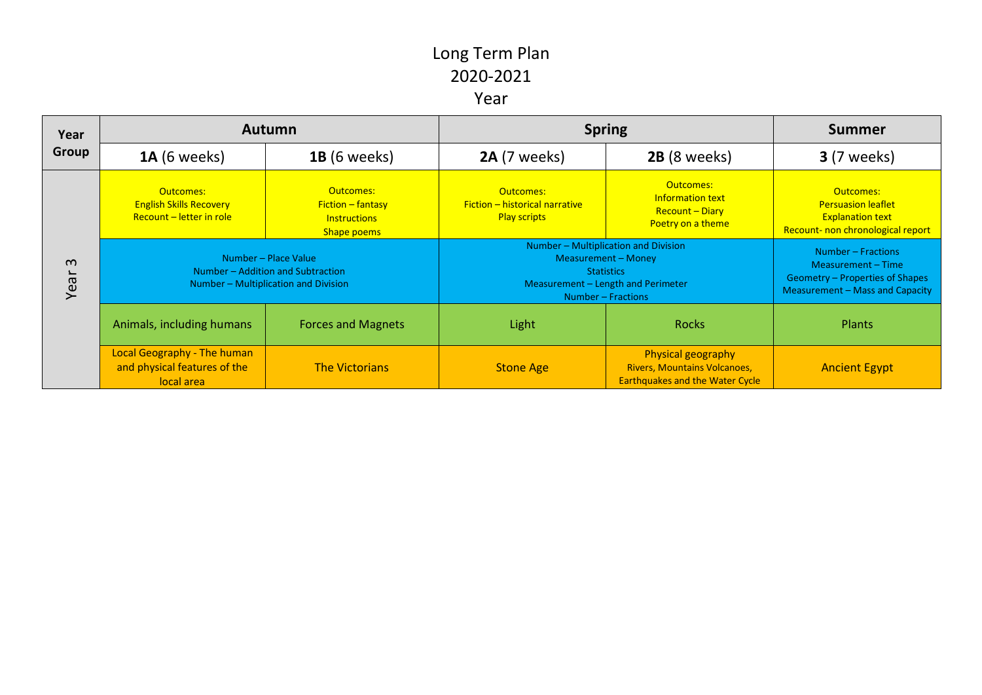| Year<br>Group    | <b>Autumn</b>                                                                                     |                                                                               | <b>Spring</b>                                                                                                                                       |                                                                                                     | <b>Summer</b>                                                                                                  |
|------------------|---------------------------------------------------------------------------------------------------|-------------------------------------------------------------------------------|-----------------------------------------------------------------------------------------------------------------------------------------------------|-----------------------------------------------------------------------------------------------------|----------------------------------------------------------------------------------------------------------------|
|                  | <b>1A</b> (6 weeks)                                                                               | <b>1B</b> (6 weeks)                                                           | <b>2A</b> (7 weeks)                                                                                                                                 | 2B (8 weeks)                                                                                        | <b>3</b> (7 weeks)                                                                                             |
| $\omega$<br>Year | Outcomes:<br><b>English Skills Recovery</b><br>Recount - letter in role                           | Outcomes:<br>$Fiction - fantasy$<br><b>Instructions</b><br><b>Shape poems</b> | Outcomes:<br>Fiction - historical narrative<br><b>Play scripts</b>                                                                                  | Outcomes:<br><b>Information text</b><br><b>Recount - Diary</b><br>Poetry on a theme                 | Outcomes:<br><b>Persuasion leaflet</b><br><b>Explanation text</b><br>Recount- non chronological report         |
|                  | Number - Place Value<br>Number – Addition and Subtraction<br>Number - Multiplication and Division |                                                                               | Number - Multiplication and Division<br><b>Measurement - Money</b><br><b>Statistics</b><br>Measurement - Length and Perimeter<br>Number - Fractions |                                                                                                     | Number – Fractions<br>Measurement – Time<br>Geometry – Properties of Shapes<br>Measurement - Mass and Capacity |
|                  | Animals, including humans                                                                         | <b>Forces and Magnets</b>                                                     | Light                                                                                                                                               | <b>Rocks</b>                                                                                        | <b>Plants</b>                                                                                                  |
|                  | <b>Local Geography - The human</b><br>and physical features of the<br>local area                  | <b>The Victorians</b>                                                         | <b>Stone Age</b>                                                                                                                                    | Physical geography<br><b>Rivers, Mountains Volcanoes,</b><br><b>Earthquakes and the Water Cycle</b> | <b>Ancient Egypt</b>                                                                                           |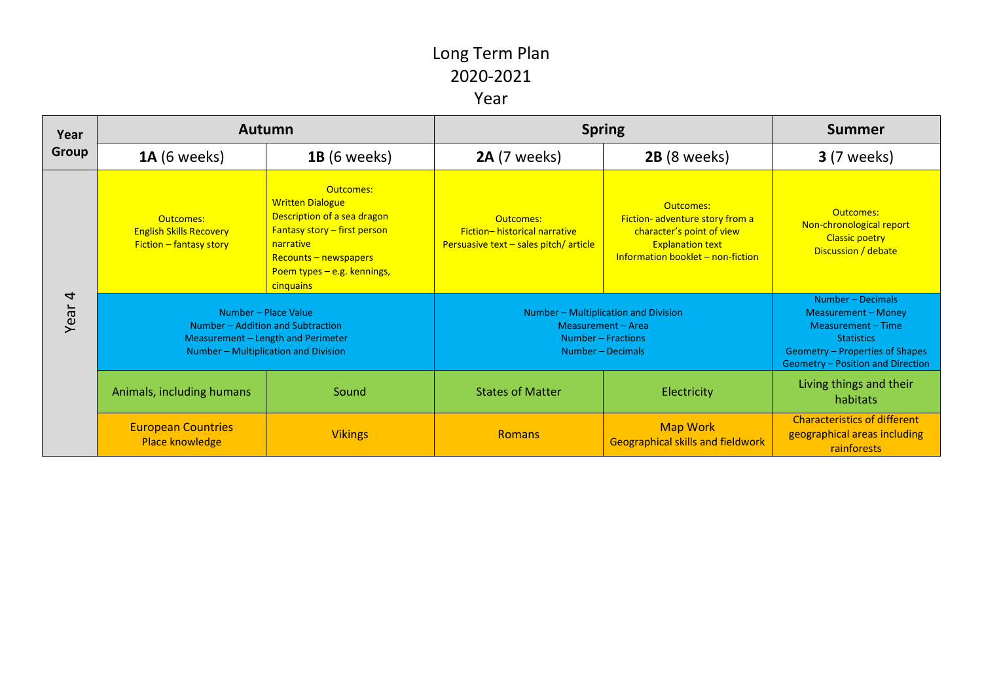| Year<br>Group          | <b>Autumn</b>                                                                                                                           |                                                                                                                                                                                              | <b>Spring</b>                                                                                         |                                                                                                                                          | <b>Summer</b>                                                                                                                                               |
|------------------------|-----------------------------------------------------------------------------------------------------------------------------------------|----------------------------------------------------------------------------------------------------------------------------------------------------------------------------------------------|-------------------------------------------------------------------------------------------------------|------------------------------------------------------------------------------------------------------------------------------------------|-------------------------------------------------------------------------------------------------------------------------------------------------------------|
|                        | <b>1A</b> (6 weeks)                                                                                                                     | <b>1B</b> (6 weeks)                                                                                                                                                                          | 2A (7 weeks)                                                                                          | 2B (8 weeks)                                                                                                                             | <b>3</b> (7 weeks)                                                                                                                                          |
| $\overline{4}$<br>Year | Outcomes:<br><b>English Skills Recovery</b><br>$Fiction - fanusy story$                                                                 | Outcomes:<br><b>Written Dialogue</b><br>Description of a sea dragon<br><b>Fantasy story - first person</b><br>narrative<br>Recounts - newspapers<br>Poem types - e.g. kennings,<br>cinquains | Outcomes:<br>Fiction-historical narrative<br>Persuasive text $-$ sales pitch/ article                 | Outcomes:<br>Fiction-adventure story from a<br>character's point of view<br><b>Explanation text</b><br>Information booklet - non-fiction | Outcomes:<br>Non-chronological report<br><b>Classic poetry</b><br>Discussion / debate                                                                       |
|                        | Number - Place Value<br>Number – Addition and Subtraction<br>Measurement - Length and Perimeter<br>Number - Multiplication and Division |                                                                                                                                                                                              | Number - Multiplication and Division<br>Measurement - Area<br>Number - Fractions<br>Number - Decimals |                                                                                                                                          | Number - Decimals<br>Measurement - Money<br>Measurement - Time<br><b>Statistics</b><br>Geometry – Properties of Shapes<br>Geometry - Position and Direction |
|                        | Animals, including humans                                                                                                               | Sound                                                                                                                                                                                        | <b>States of Matter</b>                                                                               | Electricity                                                                                                                              | Living things and their<br>habitats                                                                                                                         |
|                        | <b>European Countries</b><br>Place knowledge                                                                                            | <b>Vikings</b>                                                                                                                                                                               | <b>Romans</b>                                                                                         | <b>Map Work</b><br><b>Geographical skills and fieldwork</b>                                                                              | <b>Characteristics of different</b><br>geographical areas including<br>rainforests                                                                          |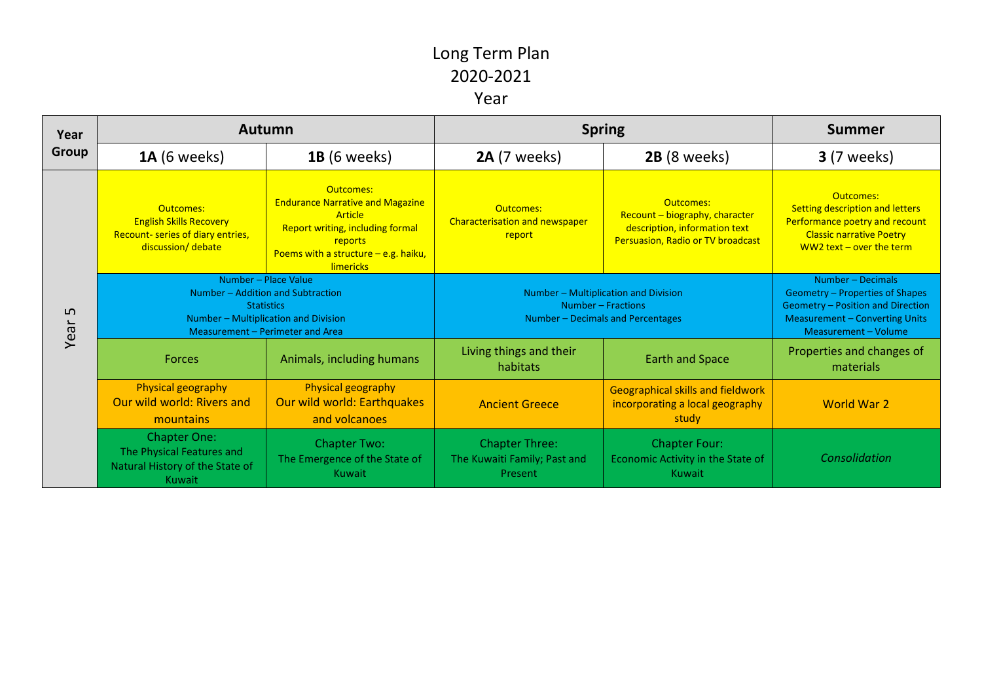| Year<br><b>Group</b> | <b>Autumn</b>                                                                                                                                              |                                                                                                                                                                                     | <b>Spring</b>                                                                                   |                                                                                                                          | <b>Summer</b>                                                                                                                                              |
|----------------------|------------------------------------------------------------------------------------------------------------------------------------------------------------|-------------------------------------------------------------------------------------------------------------------------------------------------------------------------------------|-------------------------------------------------------------------------------------------------|--------------------------------------------------------------------------------------------------------------------------|------------------------------------------------------------------------------------------------------------------------------------------------------------|
|                      | <b>1A</b> (6 weeks)                                                                                                                                        | <b>1B</b> (6 weeks)                                                                                                                                                                 | <b>2A</b> (7 weeks)                                                                             | 2B (8 weeks)                                                                                                             | <b>3</b> (7 weeks)                                                                                                                                         |
| ம<br>Year            | Outcomes:<br><b>English Skills Recovery</b><br>Recount- series of diary entries,<br>discussion/debate                                                      | Outcomes:<br><b>Endurance Narrative and Magazine</b><br>Article<br><b>Report writing, including formal</b><br>reports<br>Poems with a structure $-$ e.g. haiku,<br><b>limericks</b> | Outcomes:<br><b>Characterisation and newspaper</b><br>report                                    | <b>Outcomes:</b><br>Recount - biography, character<br>description, information text<br>Persuasion, Radio or TV broadcast | Outcomes:<br><b>Setting description and letters</b><br>Performance poetry and recount<br><b>Classic narrative Poetry</b><br>WW2 text $-$ over the term     |
|                      | Number – Place Value<br>Number - Addition and Subtraction<br><b>Statistics</b><br>Number - Multiplication and Division<br>Measurement - Perimeter and Area |                                                                                                                                                                                     | Number - Multiplication and Division<br>Number – Fractions<br>Number - Decimals and Percentages |                                                                                                                          | Number - Decimals<br>Geometry – Properties of Shapes<br>Geometry - Position and Direction<br><b>Measurement - Converting Units</b><br>Measurement - Volume |
|                      | <b>Forces</b>                                                                                                                                              | Animals, including humans                                                                                                                                                           | Living things and their<br>habitats                                                             | <b>Earth and Space</b>                                                                                                   | Properties and changes of<br>materials                                                                                                                     |
|                      | Physical geography<br>Our wild world: Rivers and<br>mountains                                                                                              | Physical geography<br>Our wild world: Earthquakes<br>and volcanoes                                                                                                                  | <b>Ancient Greece</b>                                                                           | <b>Geographical skills and fieldwork</b><br>incorporating a local geography<br>study                                     | <b>World War 2</b>                                                                                                                                         |
|                      | <b>Chapter One:</b><br>The Physical Features and<br>Natural History of the State of<br>Kuwait                                                              | <b>Chapter Two:</b><br>The Emergence of the State of<br>Kuwait                                                                                                                      | <b>Chapter Three:</b><br>The Kuwaiti Family; Past and<br>Present                                | <b>Chapter Four:</b><br>Economic Activity in the State of<br>Kuwait                                                      | Consolidation                                                                                                                                              |